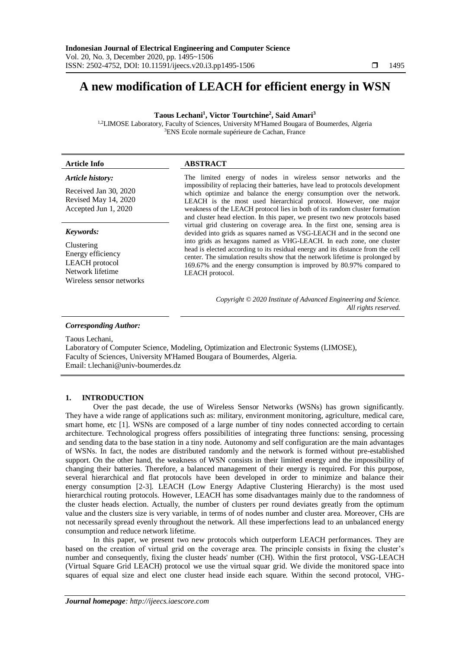# **A new modification of LEACH for efficient energy in WSN**

**Taous Lechani<sup>1</sup> , Victor Tourtchine<sup>2</sup> , Said Amari<sup>3</sup>**

<sup>1,2</sup>LIMOSE Laboratory, Faculty of Sciences, University M'Hamed Bougara of Boumerdes. Algeria <sup>3</sup>ENS Ecole normale supérieure de Cachan, France

| <b>Article Info</b>                                                                               | <b>ABSTRACT</b>                                                                                                                                                                                                                                                                                                                                                                                                                                             |
|---------------------------------------------------------------------------------------------------|-------------------------------------------------------------------------------------------------------------------------------------------------------------------------------------------------------------------------------------------------------------------------------------------------------------------------------------------------------------------------------------------------------------------------------------------------------------|
| Article history:<br>Received Jan 30, 2020<br>Revised May 14, 2020<br>Accepted Jun 1, 2020         | The limited energy of nodes in wireless sensor networks and the<br>impossibility of replacing their batteries, have lead to protocols development<br>which optimize and balance the energy consumption over the network.<br>LEACH is the most used hierarchical protocol. However, one major<br>weakness of the LEACH protocol lies in both of its random cluster formation<br>and cluster head election. In this paper, we present two new protocols based |
| Keywords:                                                                                         | virtual grid clustering on coverage area. In the first one, sensing area is<br>devided into grids as squares named as VSG-LEACH and in the second one                                                                                                                                                                                                                                                                                                       |
| Clustering<br>Energy efficiency<br>LEACH protocol<br>Network lifetime<br>Wireless sensor networks | into grids as hexagons named as VHG-LEACH. In each zone, one cluster<br>head is elected according to its residual energy and its distance from the cell<br>center. The simulation results show that the network lifetime is prolonged by<br>169.67% and the energy consumption is improved by 80.97% compared to<br>LEACH protocol.                                                                                                                         |

*Copyright © 2020 Institute of Advanced Engineering and Science. All rights reserved.*

*Corresponding Author:*

Taous Lechani, Laboratory of Computer Science, Modeling, Optimization and Electronic Systems (LIMOSE), Faculty of Sciences, University M'Hamed Bougara of Boumerdes, Algeria. Email: [t.lechani@univ-boumerdes.dz](mailto:t.lechani@univ-boumerdes.dz)

# **1. INTRODUCTION**

Over the past decade, the use of Wireless Sensor Networks (WSNs) has grown significantly. They have a wide range of applications such as: military, environment monitoring, agriculture, medical care, smart home, etc [1]. WSNs are composed of a large number of tiny nodes connected according to certain architecture. Technological progress offers possibilities of integrating three functions: sensing, processing and sending data to the base station in a tiny node. Autonomy and self configuration are the main advantages of WSNs. In fact, the nodes are distributed randomly and the network is formed without pre-established support. On the other hand, the weakness of WSN consists in their limited energy and the impossibility of changing their batteries. Therefore, a balanced management of their energy is required. For this purpose, several hierarchical and flat protocols have been developed in order to minimize and balance their energy consumption [2-3]. LEACH (Low Energy Adaptive Clustering Hierarchy) is the most used hierarchical routing protocols. However, LEACH has some disadvantages mainly due to the randomness of the cluster heads election. Actually, the number of clusters per round deviates greatly from the optimum value and the clusters size is very variable, in terms of of nodes number and cluster area. Moreover, CHs are not necessarily spread evenly throughout the network. All these imperfections lead to an unbalanced energy consumption and reduce network lifetime.

In this paper, we present two new protocols which outperform LEACH performances. They are based on the creation of virtual grid on the coverage area. The principle consists in fixing the cluster's number and consequently, fixing the cluster heads' number (CH). Within the first protocol, VSG-LEACH (Virtual Square Grid LEACH) protocol we use the virtual squar grid. We divide the monitored space into squares of equal size and elect one cluster head inside each square. Within the second protocol, VHG-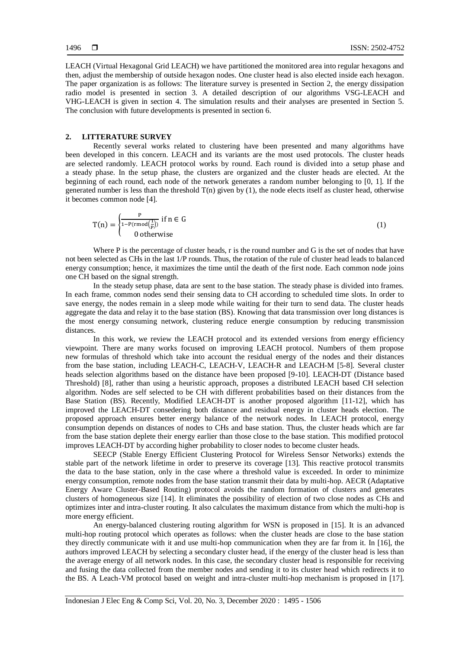LEACH (Virtual Hexagonal Grid LEACH) we have partitioned the monitored area into regular hexagons and then, adjust the membership of outside hexagon nodes. One cluster head is also elected inside each hexagon. The paper organization is as follows: The literature survey is presented in Section 2, the energy dissipation radio model is presented in section 3. A detailed description of our algorithms VSG-LEACH and VHG-LEACH is given in section 4. The simulation results and their analyses are presented in Section 5. The conclusion with future developments is presented in section 6.

# **2. LITTERATURE SURVEY**

Recently several works related to clustering have been presented and many algorithms have been developed in this concern. LEACH and its variants are the most used protocols. The cluster heads are selected randomly. LEACH protocol works by round. Each round is divided into a setup phase and a steady phase. In the setup phase, the clusters are organized and the cluster heads are elected. At the beginning of each round, each node of the network generates a random number belonging to [0, 1]. If the generated number is less than the threshold  $T(n)$  given by  $(1)$ , the node elects itself as cluster head, otherwise it becomes common node [4].

$$
T(n) = \begin{cases} \frac{P}{1 - P(r \mod(\frac{1}{P}))} & \text{if } n \in G \\ 0 & \text{otherwise} \end{cases}
$$
 (1)

Where P is the percentage of cluster heads, r is the round number and G is the set of nodes that have not been selected as CHs in the last 1/P rounds. Thus, the rotation of the rule of cluster head leads to balanced energy consumption; hence, it maximizes the time until the death of the first node. Each common node joins one CH based on the signal strength.

In the steady setup phase, data are sent to the base station. The steady phase is divided into frames. In each frame, common nodes send their sensing data to CH according to scheduled time slots. In order to save energy, the nodes remain in a sleep mode while waiting for their turn to send data. The cluster heads aggregate the data and relay it to the base station (BS). Knowing that data transmission over long distances is the most energy consuming network, clustering reduce energie consumption by reducing transmission distances.

In this work, we review the LEACH protocol and its extended versions from energy efficiency viewpoint. There are many works focused on improving LEACH protocol. Numbers of them propose new formulas of threshold which take into account the residual energy of the nodes and their distances from the base station, including LEACH-C, LEACH-V, LEACH-R and LEACH-M [5-8]. Several cluster heads selection algorithms based on the distance have been proposed [9-10]. LEACH-DT (Distance based Threshold) [8], rather than using a heuristic approach, proposes a distributed LEACH based CH selection algorithm. Nodes are self selected to be CH with different probabilities based on their distances from the Base Station (BS). Recently, Modified LEACH-DT is another proposed algorithm [11-12], which has improved the LEACH-DT consedering both distance and residual energy in cluster heads election. The proposed approach ensures better energy balance of the network nodes. In LEACH protocol, energy consumption depends on distances of nodes to CHs and base station. Thus, the cluster heads which are far from the base station deplete their energy earlier than those close to the base station. This modified protocol improves LEACH-DT by according higher probability to closer nodes to become cluster heads.

SEECP (Stable Energy Efficient Clustering Protocol for Wireless Sensor Networks) extends the stable part of the network lifetime in order to preserve its coverage [13]. This reactive protocol transmits the data to the base station, only in the case where a threshold value is exceeded. In order to minimize energy consumption, remote nodes from the base station transmit their data by multi-hop. AECR (Adaptative Energy Aware Cluster-Based Routing) protocol avoids the random formation of clusters and generates clusters of homogeneous size [14]. It eliminates the possibility of election of two close nodes as CHs and optimizes inter and intra-cluster routing. It also calculates the maximum distance from which the multi-hop is more energy efficient.

An energy-balanced clustering routing algorithm for WSN is proposed in [15]. It is an advanced multi-hop routing protocol which operates as follows: when the cluster heads are close to the base station they directly communicate with it and use multi-hop communication when they are far from it. In [16], the authors improved LEACH by selecting a secondary cluster head, if the energy of the cluster head is less than the average energy of all network nodes. In this case, the secondary cluster head is responsible for receiving and fusing the data collected from the member nodes and sending it to its cluster head which redirects it to the BS. A Leach-VM protocol based on weight and intra-cluster multi-hop mechanism is proposed in [17].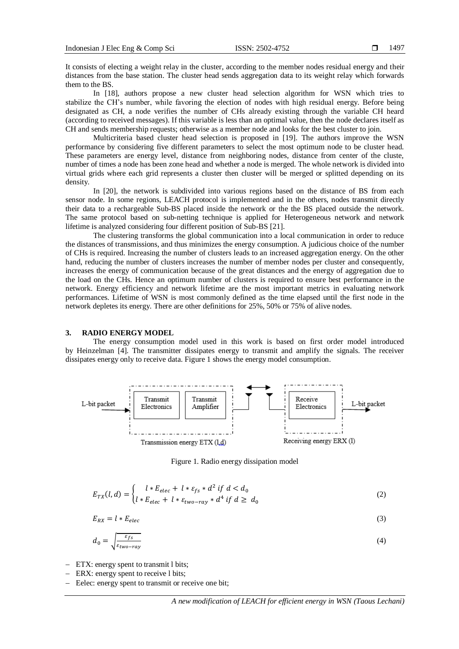It consists of electing a weight relay in the cluster, according to the member nodes residual energy and their distances from the base station. The cluster head sends aggregation data to its weight relay which forwards them to the BS.

In [18], authors propose a new cluster head selection algorithm for WSN which tries to stabilize the CH's number, while favoring the election of nodes with high residual energy. Before being designated as CH, a node verifies the number of CHs already existing through the variable CH heard (according to received messages). If this variable is less than an optimal value, then the node declares itself as CH and sends membership requests; otherwise as a member node and looks for the best cluster to join.

Multicriteria based cluster head selection is proposed in [19]. The authors improve the WSN performance by considering five different parameters to select the most optimum node to be cluster head. These parameters are energy level, distance from neighboring nodes, distance from center of the cluste, number of times a node has been zone head and whether a node is merged. The whole network is divided into virtual grids where each grid represents a cluster then cluster will be merged or splitted depending on its density.

In [20], the network is subdivided into various regions based on the distance of BS from each sensor node. In some regions, LEACH protocol is implemented and in the others, nodes transmit directly their data to a rechargeable Sub-BS placed inside the network or the the BS placed outside the network. The same protocol based on sub-netting technique is applied for Heterogeneous network and network lifetime is analyzed considering four different position of Sub-BS [21].

The clustering transforms the global communication into a local communication in order to reduce the distances of transmissions, and thus minimizes the energy consumption. A judicious choice of the number of CHs is required. Increasing the number of clusters leads to an increased aggregation energy. On the other hand, reducing the number of clusters increases the number of member nodes per cluster and consequently, increases the energy of communication because of the great distances and the energy of aggregation due to the load on the CHs. Hence an optimum number of clusters is required to ensure best performance in the network. Energy efficiency and network lifetime are the most important metrics in evaluating network performances. Lifetime of WSN is most commonly defined as the time elapsed until the first node in the network depletes its energy. There are other definitions for 25%, 50% or 75% of alive nodes.

#### **3. RADIO ENERGY MODEL**

The energy consumption model used in this work is based on first order model introduced by Heinzelman [4]. The transmitter dissipates energy to transmit and amplify the signals. The receiver dissipates energy only to receive data. Figure 1 shows the energy model consumption.



Figure 1. Radio energy dissipation model

$$
E_{TX}(l,d) = \begin{cases} l * E_{elec} + l * \varepsilon_{fs} * d^2 & \text{if } d < d_0 \\ l * E_{elec} + l * \varepsilon_{two-ray} * d^4 & \text{if } d \ge d_0 \end{cases}
$$
(2)

$$
E_{RX} = l * E_{elec} \tag{3}
$$

$$
d_0 = \sqrt{\frac{\varepsilon_{fs}}{\varepsilon_{two-ray}}}
$$
\n<sup>(4)</sup>

- ETX: energy spent to transmit l bits;

- ERX: energy spent to receive 1 bits;
- Eelec: energy spent to transmit or receive one bit;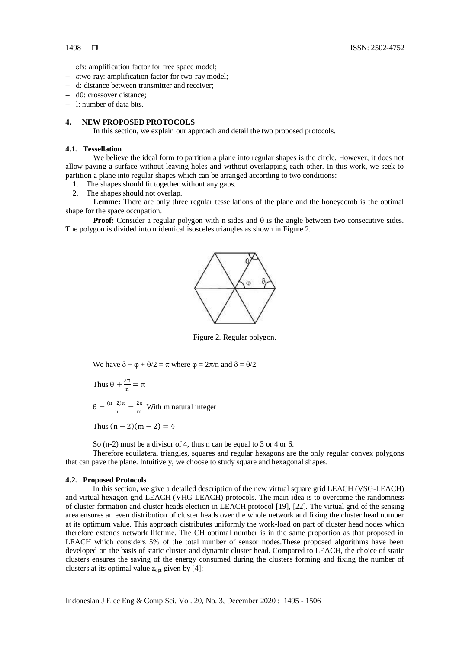- $\varepsilon$ fs: amplification factor for free space model;
- two-ray: amplification factor for two-ray model;
- d: distance between transmitter and receiver;
- d0: crossover distance;
- l: number of data bits.

# **4. NEW PROPOSED PROTOCOLS**

In this section, we explain our approach and detail the two proposed protocols.

# **4.1. Tessellation**

We believe the ideal form to partition a plane into regular shapes is the circle. However, it does not allow paving a surface without leaving holes and without overlapping each other. In this work, we seek to partition a plane into regular shapes which can be arranged according to two conditions:

- 1. The shapes should fit together without any gaps.
- 2. The shapes should not overlap.

**Lemme:** There are only three regular tessellations of the plane and the honeycomb is the optimal shape for the space occupation.

**Proof:** Consider a regular polygon with n sides and  $\theta$  is the angle between two consecutive sides. The polygon is divided into n identical isosceles triangles as shown in Figure 2.



Figure 2. Regular polygon.

We have  $\delta + \varphi + \theta/2 = \pi$  where  $\varphi = 2\pi/n$  and  $\delta = \theta/2$ 

Thus 
$$
\theta + \frac{2\pi}{n} = \pi
$$

 $\theta = \frac{(n-2)\pi}{n}$  $\frac{(-2)\pi}{n} = \frac{2\pi}{m}$  $\frac{2\pi}{m}$  With m natural integer

Thus  $(n-2)(m-2) = 4$ 

So (n-2) must be a divisor of 4, thus n can be equal to 3 or 4 or 6.

Therefore equilateral triangles, squares and regular hexagons are the only regular convex polygons that can pave the plane. Intuitively, we choose to study square and hexagonal shapes.

#### **4.2. Proposed Protocols**

In this section, we give a detailed description of the new virtual square grid LEACH (VSG-LEACH) and virtual hexagon grid LEACH (VHG-LEACH) protocols. The main idea is to overcome the randomness of cluster formation and cluster heads election in LEACH protocol [19], [22]. The virtual grid of the sensing area ensures an even distribution of cluster heads over the whole network and fixing the cluster head number at its optimum value. This approach distributes uniformly the work-load on part of cluster head nodes which therefore extends network lifetime. The CH optimal number is in the same proportion as that proposed in LEACH which considers 5% of the total number of sensor nodes.These proposed algorithms have been developed on the basis of static cluster and dynamic cluster head. Compared to LEACH, the choice of static clusters ensures the saving of the energy consumed during the clusters forming and fixing the number of clusters at its optimal value zopt given by [4]: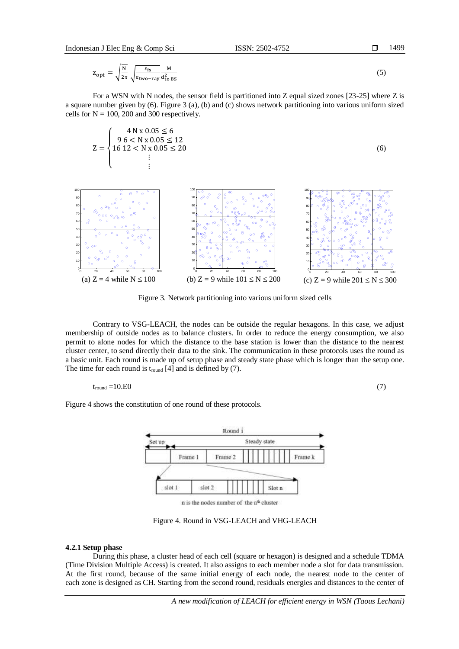$z_{\rm opt} = \sqrt{\frac{N}{2\pi}} \sqrt{\frac{\varepsilon_{\rm fs}}{\varepsilon_{\rm two-}}}$ εtwo−ray M  $d_{\text{to BS}}^2$ (5)

For a WSN with N nodes, the sensor field is partitioned into Z equal sized zones [23-25] where Z is a square number given by (6). Figure 3 (a), (b) and (c) shows network partitioning into various uniform sized cells for  $N = 100$ , 200 and 300 respectively.

$$
Z = \begin{cases} 4 N x 0.05 \le 6 \\ 96 < N x 0.05 \le 12 \\ 16 12 < N x 0.05 \le 20 \\ \vdots \end{cases}
$$
 (6)



Figure 3. Network partitioning into various uniform sized cells

Contrary to VSG-LEACH, the nodes can be outside the regular hexagons. In this case, we adjust membership of outside nodes as to balance clusters. In order to reduce the energy consumption, we also permit to alone nodes for which the distance to the base station is lower than the distance to the nearest cluster center, to send directly their data to the sink. The communication in these protocols uses the round as a basic unit. Each round is made up of setup phase and steady state phase which is longer than the setup one. The time for each round is  $t_{round}$  [4] and is defined by (7).

$$
t_{\text{round}} = 10.E0 \tag{7}
$$

Figure 4 shows the constitution of one round of these protocols.



Figure 4. Round in VSG-LEACH and VHG-LEACH

#### **4.2.1 Setup phase**

During this phase, a cluster head of each cell (square or hexagon) is designed and a schedule TDMA (Time Division Multiple Access) is created. It also assigns to each member node a slot for data transmission. At the first round, because of the same initial energy of each node, the nearest node to the center of each zone is designed as CH. Starting from the second round, residuals energies and distances to the center of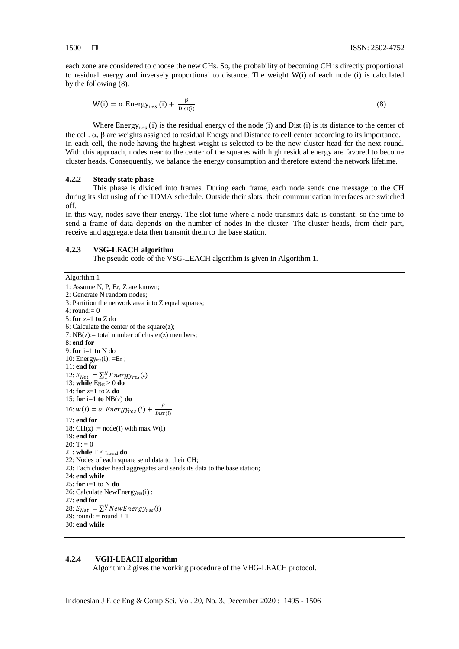each zone are considered to choose the new CHs. So, the probability of becoming CH is directly proportional to residual energy and inversely proportional to distance. The weight W(i) of each node (i) is calculated by the following (8).

$$
W(i) = \alpha. \text{Energy}_{res}(i) + \frac{\beta}{Dist(i)}
$$
\n
$$
(8)
$$

Where Energy<sub>res</sub> (i) is the residual energy of the node (i) and Dist (i) is its distance to the center of the cell.  $\alpha$ ,  $\beta$  are weights assigned to residual Energy and Distance to cell center according to its importance. In each cell, the node having the highest weight is selected to be the new cluster head for the next round. With this approach, nodes near to the center of the squares with high residual energy are favored to become cluster heads. Consequently, we balance the energy consumption and therefore extend the network lifetime.

#### **4.2.2 Steady state phase**

This phase is divided into frames. During each frame, each node sends one message to the CH during its slot using of the TDMA schedule. Outside their slots, their communication interfaces are switched off.

In this way, nodes save their energy. The slot time where a node transmits data is constant; so the time to send a frame of data depends on the number of nodes in the cluster. The cluster heads, from their part, receive and aggregate data then transmit them to the base station.

#### **4.2.3 VSG-LEACH algorithm**

The pseudo code of the VSG-LEACH algorithm is given in Algorithm 1.

Algorithm 1 1: Assume N, P, E0, Z are known; 2: Generate N random nodes; 3: Partition the network area into Z equal squares;  $4:$  round: $= 0$ 5: **for** z=1 **to** Z do 6: Calculate the center of the square $(z)$ ; 7:  $NB(z)$ : total number of cluster(z) members; 8: **end for** 9: **for** i=1 **to** N do 10: Energyres $(i)$ :  $=E_0$ ; 11: **end for** 12:  $E_{Net}$ : =  $\sum_{1}^{N}Energy_{res}(i)$ 13: **while**  $E_{\text{Net}} > 0$  do 14: **for** z=1 to Z **do** 15: **for** i=1 **to** NB(z) **do** 16:  $w(i) = \alpha$ . Energy<sub>res</sub> (i) +  $\frac{\beta}{Dist}$ Dist(i) 17: **end for** 18:  $CH(z) := node(i)$  with max  $W(i)$ 19: **end for**  $20: T: = 0$ 21: **while** T < tround **do** 22: Nodes of each square send data to their CH; 23: Each cluster head aggregates and sends its data to the base station; 24: **end while** 25: **for** i=1 to N **do** 26: Calculate NewEnergyres(i); 27: **end for** 28:  $E_{Net}$ : =  $\sum_{1}^{N} NewEnergy_{res}(i)$  $29:$  round:  $=$  round  $+1$ 30: **end while**

# **4.2.4 VGH-LEACH algorithm**

Algorithm 2 gives the working procedure of the VHG-LEACH protocol.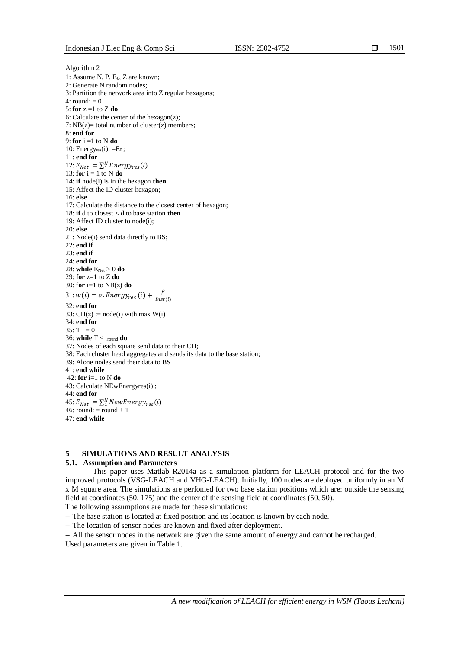1501

Algorithm 2 1: Assume N, P, E<sub>0</sub>, Z are known; 2: Generate N random nodes; 3: Partition the network area into Z regular hexagons; 4: round:  $= 0$ 5: **for** z =1 to Z **do** 6: Calculate the center of the hexagon(z); 7:  $NB(z) = total number of cluster(z) members;$ 8: **end for** 9: **for** i =1 to N **do** 10: Energyres $(i)$ :  $=$ E<sub>0</sub>; 11: **end for** 12:  $E_{Net}$ : =  $\sum_{1}^{N}Energy_{res}(i)$ 13: **for**  $i = 1$  to N **do** 14: **if** node(i) is in the hexagon **then** 15: Affect the ID cluster hexagon; 16: **else** 17: Calculate the distance to the closest center of hexagon; 18: **if** d to closest < d to base station **then** 19: Affect ID cluster to node(i); 20: **else** 21: Node(i) send data directly to BS; 22: **end if** 23: **end if** 24: **end for** 28: **while**  $E_{Net} > 0$  do 29: **for** z=1 to Z **do** 30: for  $i=1$  to  $NB(z)$  do 31:  $w(i) = \alpha$ . Energy<sub>res</sub> (i) +  $\frac{\beta}{Dist}$  $Dist(i)$ 32: **end for** 33:  $CH(z) := node(i)$  with max  $W(i)$ 34: **end for**  $35: T := 0$ 36: **while** T < tround **do** 37: Nodes of each square send data to their CH; 38: Each cluster head aggregates and sends its data to the base station; 39: Alone nodes send their data to BS 41: **end while** 42: **for** i=1 to N **do** 43: Calculate NEwEnergyres(i) ; 44: **end for** 45:  $E_{Net}$ : =  $\sum_{1}^{N} NewEnergy_{res}(i)$  $46:$  round: = round + 1 47: **end while**

# **5 SIMULATIONS AND RESULT ANALYSIS**

# **5.1. Assumption and Parameters**

This paper uses Matlab R2014a as a simulation platform for LEACH protocol and for the two improved protocols (VSG-LEACH and VHG-LEACH). Initially, 100 nodes are deployed uniformly in an M x M square area. The simulations are perfomed for two base station positions which are: outside the sensing field at coordinates (50, 175) and the center of the sensing field at coordinates (50, 50).

The following assumptions are made for these simulations:

- The base station is located at fixed position and its location is known by each node.
- The location of sensor nodes are known and fixed after deployment.

- All the sensor nodes in the network are given the same amount of energy and cannot be recharged. Used parameters are given in Table 1.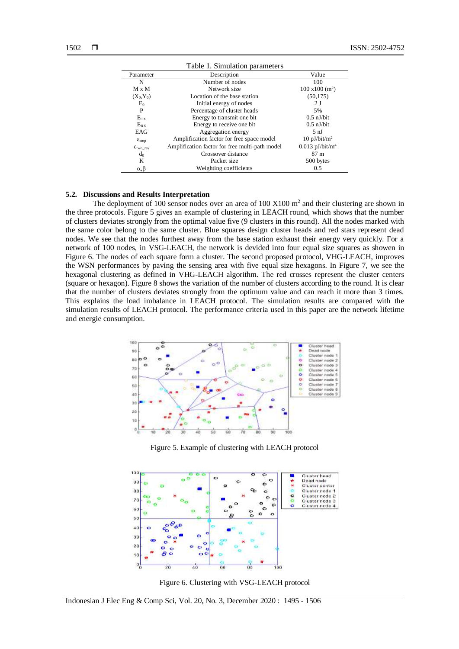| Table 1. Simulation parameters |                                                |                                |  |  |  |
|--------------------------------|------------------------------------------------|--------------------------------|--|--|--|
| Parameter                      | Description                                    | Value                          |  |  |  |
| N                              | Number of nodes                                | 100                            |  |  |  |
| $M \times M$                   | Network size                                   | $100 \times 100 \text{ (m}^2)$ |  |  |  |
| $(X_0, Y_0)$                   | Location of the base station                   | (50, 175)                      |  |  |  |
| $E_0$                          | Initial energy of nodes                        | 2 <sub>J</sub>                 |  |  |  |
| P                              | Percentage of cluster heads                    | 5%                             |  |  |  |
| $E_{TX}$                       | Energy to transmit one bit                     | $0.5$ nJ/bit                   |  |  |  |
| $E_{RX}$                       | Energy to receive one bit                      | $0.5$ nJ/bit                   |  |  |  |
| EAG                            | Aggregation energy                             | 5 nJ                           |  |  |  |
| $\varepsilon$ <sub>amp</sub>   | Amplification factor for free space model      | $10$ pJ/bit/m <sup>2</sup>     |  |  |  |
| $\epsilon_{\text{two ray}}$    | Amplification factor for free multi-path model | $0.013$ pJ/bit/m <sup>4</sup>  |  |  |  |
| $d_0$                          | Crossover distance                             | 87 m                           |  |  |  |
| K                              | Packet size                                    | 500 bytes                      |  |  |  |
| $\alpha, \beta$                | Weighting coefficients                         | 0.5                            |  |  |  |

#### **5.2. Discussions and Results Interpretation**

The deployment of 100 sensor nodes over an area of 100  $X100$   $m<sup>2</sup>$  and their clustering are shown in the three protocols. Figure 5 gives an example of clustering in LEACH round, which shows that the number of clusters deviates strongly from the optimal value five (9 clusters in this round). All the nodes marked with the same color belong to the same cluster. Blue squares design cluster heads and red stars represent dead nodes. We see that the nodes furthest away from the base station exhaust their energy very quickly. For a network of 100 nodes, in VSG-LEACH, the network is devided into four equal size squares as showen in Figure 6. The nodes of each square form a cluster. The second proposed protocol, VHG-LEACH, improves the WSN performances by paving the sensing area with five equal size hexagons. In Figure 7, we see the hexagonal clustering as defined in VHG-LEACH algorithm. The red crosses represent the cluster centers (square or hexagon). Figure 8 shows the variation of the number of clusters according to the round. It is clear that the number of clusters deviates strongly from the optimum value and can reach it more than 3 times. This explains the load imbalance in LEACH protocol. The simulation results are compared with the simulation results of LEACH protocol. The performance criteria used in this paper are the network lifetime and energie consumption.



Figure 5. Example of clustering with LEACH protocol



Figure 6. Clustering with VSG-LEACH protocol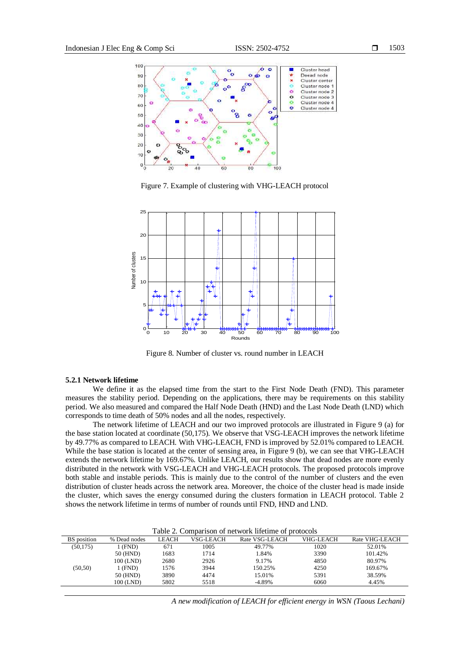100



 $\mathfrak{a}$ 

Figure 7. Example of clustering with VHG-LEACH protocol

R.C

 $40$ 

 $20$ 



Figure 8. Number of cluster vs. round number in LEACH

#### **5.2.1 Network lifetime**

We define it as the elapsed time from the start to the First Node Death (FND). This parameter measures the stability period. Depending on the applications, there may be requirements on this stability period. We also measured and compared the Half Node Death (HND) and the Last Node Death (LND) which corresponds to time death of 50% nodes and all the nodes, respectively.

The network lifetime of LEACH and our two improved protocols are illustrated in Figure 9 (a) for the base station located at coordinate (50,175). We observe that VSG-LEACH improves the network lifetime by 49.77% as compared to LEACH. With VHG-LEACH, FND is improved by 52.01% compared to LEACH. While the base station is located at the center of sensing area, in Figure 9 (b), we can see that VHG-LEACH extends the network lifetime by 169.67%. Unlike LEACH, our results show that dead nodes are more evenly distributed in the network with VSG-LEACH and VHG-LEACH protocols. The proposed protocols improve both stable and instable periods. This is mainly due to the control of the number of clusters and the even distribution of cluster heads across the network area. Moreover, the choice of the cluster head is made inside the cluster, which saves the energy consumed during the clusters formation in LEACH protocol. Table 2 shows the network lifetime in terms of number of rounds until FND, HND and LND.

| Table 2. Comparison of network lifetime of protocols |              |              |           |                |                  |                |  |  |
|------------------------------------------------------|--------------|--------------|-----------|----------------|------------------|----------------|--|--|
| <b>BS</b> position                                   | % Dead nodes | <b>LEACH</b> | VSG-LEACH | Rate VSG-LEACH | <b>VHG-LEACH</b> | Rate VHG-LEACH |  |  |
| (50, 175)                                            | 1 (FND)      | 671          | 1005      | 49.77%         | 1020             | 52.01%         |  |  |
|                                                      | 50 (HND)     | 1683         | 1714      | 1.84%          | 3390             | 101.42%        |  |  |
|                                                      | 100 (LND)    | 2680         | 2926      | 9.17%          | 4850             | 80.97%         |  |  |
| (50, 50)                                             | 1 (FND)      | 1576         | 3944      | 150.25%        | 4250             | 169.67%        |  |  |
|                                                      | 50 (HND)     | 3890         | 4474      | 15.01%         | 5391             | 38.59%         |  |  |
|                                                      | 100 (LND)    | 5802         | 5518      | $-4.89%$       | 6060             | 4.45%          |  |  |

*A new modification of LEACH for efficient energy in WSN (Taous Lechani)*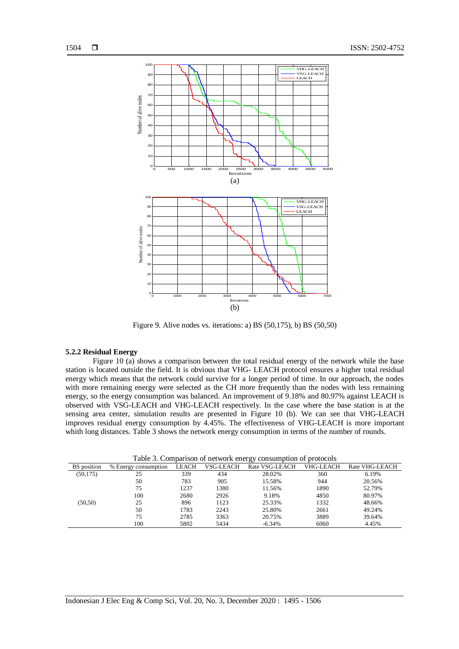

Figure 9. Alive nodes vs. iterations: a) BS (50,175), b) BS (50,50)

#### **5.2.2 Residual Energy**

Figure 10 (a) shows a comparison between the total residual energy of the network while the base station is located outside the field. It is obvious that VHG- LEACH protocol ensures a higher total residual energy which means that the network could survive for a longer period of time. In our approach, the nodes with more remaining energy were selected as the CH more frequently than the nodes with less remaining energy, so the energy consumption was balanced. An improvement of 9.18% and 80.97% against LEACH is observed with VSG-LEACH and VHG-LEACH respectively. In the case where the base station is at the sensing area center, simulation results are presented in Figure 10 (b). We can see that VHG-LEACH improves residual energy consumption by 4.45%. The effectiveness of VHG-LEACH is more important whith long distances. Table 3 shows the network energy consumption in terms of the number of rounds.

| Table 3. Comparison of network energy consumption of protocols |                      |       |           |                |           |                |  |
|----------------------------------------------------------------|----------------------|-------|-----------|----------------|-----------|----------------|--|
| <b>BS</b> position                                             | % Energy consumption | LEACH | VSG-LEACH | Rate VSG-LEACH | VHG-LEACH | Rate VHG-LEACH |  |
| (50, 175)                                                      | 25                   | 339   | 434       | 28.02%         | 360       | 6.19%          |  |
|                                                                | 50                   | 783   | 905       | 15.58%         | 944       | 20.56%         |  |
|                                                                | 75                   | 1237  | 1380      | 11.56%         | 1890      | 52.79%         |  |
|                                                                | 100                  | 2680  | 2926      | 9.18%          | 4850      | 80.97%         |  |
| (50, 50)                                                       | 25                   | 896   | 1123      | 25.33%         | 1332      | 48.66%         |  |
|                                                                | 50                   | 1783  | 2243      | 25.80%         | 2661      | 49.24%         |  |
|                                                                | 75                   | 2785  | 3363      | 20.75%         | 3889      | 39.64%         |  |
|                                                                | 100                  | 5802  | 5434      | $-6.34%$       | 6060      | 4.45%          |  |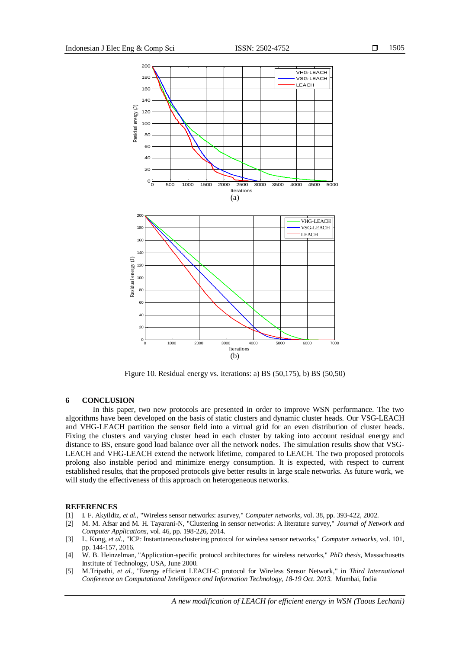

Figure 10. Residual energy vs. iterations: a) BS (50,175), b) BS (50,50)

#### **6 CONCLUSION**

In this paper, two new protocols are presented in order to improve WSN performance. The two algorithms have been developed on the basis of static clusters and dynamic cluster heads. Our VSG-LEACH and VHG-LEACH partition the sensor field into a virtual grid for an even distribution of cluster heads. Fixing the clusters and varying cluster head in each cluster by taking into account residual energy and distance to BS, ensure good load balance over all the network nodes. The simulation results show that VSG-LEACH and VHG-LEACH extend the network lifetime, compared to LEACH. The two proposed protocols prolong also instable period and minimize energy consumption. It is expected, with respect to current established results, that the proposed protocols give better results in large scale networks. As future work, we will study the effectiveness of this approach on heterogeneous networks.

#### **REFERENCES**

- [1] I. F. Akyildiz, *et al.*, "Wireless sensor networks: asurvey," *Computer networks*, vol. 38, pp. 393-422, 2002.
- [2] M. M. Afsar and M. H. Tayarani-N, "Clustering in sensor networks: A literature survey," *Journal of Network and Computer Applications*, vol. 46, pp. 198-226, 2014.
- [3] L. Kong, *et al.*, "ICP: Instantaneousclustering protocol for wireless sensor networks," *Computer networks*, vol. 101, pp. 144-157, 2016.
- [4] W. B. Heinzelman, "Application-specific protocol architectures for wireless networks," *PhD thesis*, Massachusetts Institute of Technology, USA, June 2000.
- [5] M.Tripathi, *et al.*, "Energy efficient LEACH-C protocol for Wireless Sensor Network," in *Third International Conference o[n Computational Intelligence and Information Technology, 18-19 Oct. 2013.](http://ieeexplore.ieee.org/xpl/mostRecentIssue.jsp?punumber=6897630)* Mumbai, India